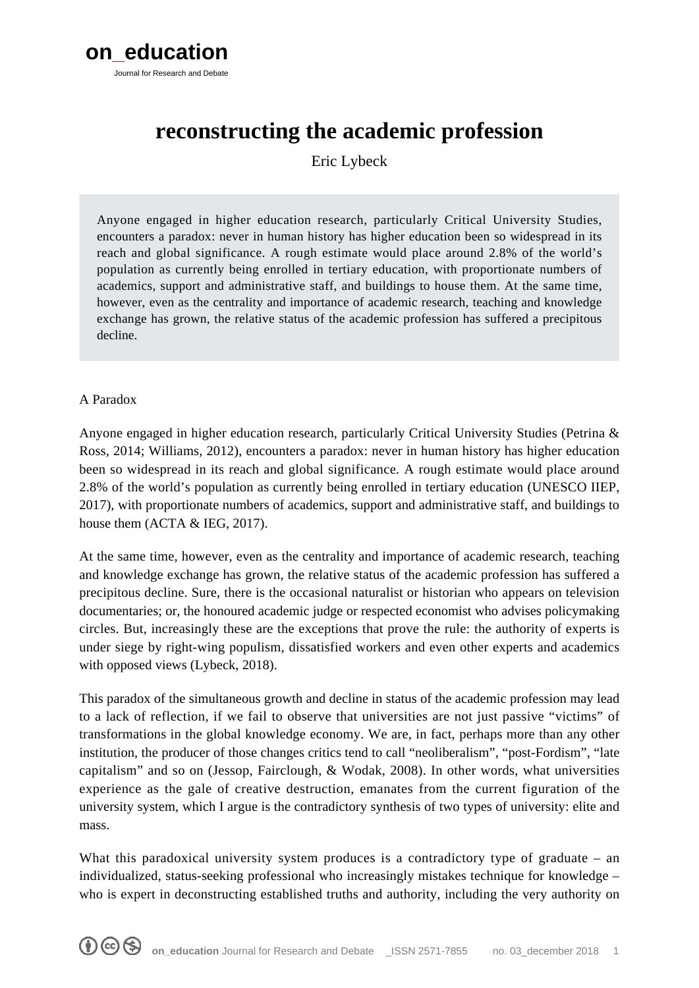

# **reconstructing the academic profession**

Eric Lybeck

Anyone engaged in higher education research, particularly Critical University Studies, encounters a paradox: never in human history has higher education been so widespread in its reach and global significance. A rough estimate would place around 2.8% of the world's population as currently being enrolled in tertiary education, with proportionate numbers of academics, support and administrative staff, and buildings to house them. At the same time, however, even as the centrality and importance of academic research, teaching and knowledge exchange has grown, the relative status of the academic profession has suffered a precipitous decline.

## A Paradox

Anyone engaged in higher education research, particularly Critical University Studies (Petrina & Ross, 2014; Williams, 2012), encounters a paradox: never in human history has higher education been so widespread in its reach and global significance. A rough estimate would place around 2.8% of the world's population as currently being enrolled in tertiary education (UNESCO IIEP, 2017), with proportionate numbers of academics, support and administrative staff, and buildings to house them (ACTA & IEG, 2017).

At the same time, however, even as the centrality and importance of academic research, teaching and knowledge exchange has grown, the relative status of the academic profession has suffered a precipitous decline. Sure, there is the occasional naturalist or historian who appears on television documentaries; or, the honoured academic judge or respected economist who advises policymaking circles. But, increasingly these are the exceptions that prove the rule: the authority of experts is under siege by right-wing populism, dissatisfied workers and even other experts and academics with opposed views (Lybeck, 2018).

This paradox of the simultaneous growth and decline in status of the academic profession may lead to a lack of reflection, if we fail to observe that universities are not just passive "victims" of transformations in the global knowledge economy. We are, in fact, perhaps more than any other institution, the producer of those changes critics tend to call "neoliberalism", "post-Fordism", "late capitalism" and so on (Jessop, Fairclough, & Wodak, 2008). In other words, what universities experience as the gale of creative destruction, emanates from the current figuration of the university system, which I argue is the contradictory synthesis of two types of university: elite and mass.

What this paradoxical university system produces is a contradictory type of graduate – an individualized, status-seeking professional who increasingly mistakes technique for knowledge – who is expert in deconstructing established truths and authority, including the very authority on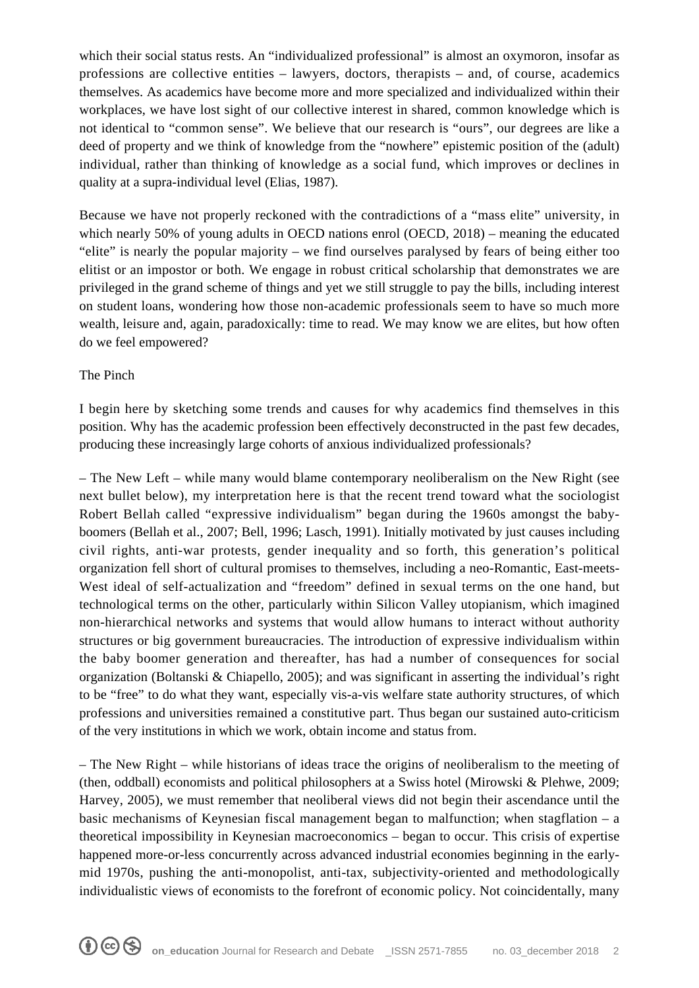which their social status rests. An "individualized professional" is almost an oxymoron, insofar as professions are collective entities – lawyers, doctors, therapists – and, of course, academics themselves. As academics have become more and more specialized and individualized within their workplaces, we have lost sight of our collective interest in shared, common knowledge which is not identical to "common sense". We believe that our research is "ours", our degrees are like a deed of property and we think of knowledge from the "nowhere" epistemic position of the (adult) individual, rather than thinking of knowledge as a social fund, which improves or declines in quality at a supra-individual level (Elias, 1987).

Because we have not properly reckoned with the contradictions of a "mass elite" university, in which nearly 50% of young adults in OECD nations enrol (OECD, 2018) – meaning the educated "elite" is nearly the popular majority – we find ourselves paralysed by fears of being either too elitist or an impostor or both. We engage in robust critical scholarship that demonstrates we are privileged in the grand scheme of things and yet we still struggle to pay the bills, including interest on student loans, wondering how those non-academic professionals seem to have so much more wealth, leisure and, again, paradoxically: time to read. We may know we are elites, but how often do we feel empowered?

## The Pinch

I begin here by sketching some trends and causes for why academics find themselves in this position. Why has the academic profession been effectively deconstructed in the past few decades, producing these increasingly large cohorts of anxious individualized professionals?

– The New Left – while many would blame contemporary neoliberalism on the New Right (see next bullet below), my interpretation here is that the recent trend toward what the sociologist Robert Bellah called "expressive individualism" began during the 1960s amongst the babyboomers (Bellah et al., 2007; Bell, 1996; Lasch, 1991). Initially motivated by just causes including civil rights, anti-war protests, gender inequality and so forth, this generation's political organization fell short of cultural promises to themselves, including a neo-Romantic, East-meets-West ideal of self-actualization and "freedom" defined in sexual terms on the one hand, but technological terms on the other, particularly within Silicon Valley utopianism, which imagined non-hierarchical networks and systems that would allow humans to interact without authority structures or big government bureaucracies. The introduction of expressive individualism within the baby boomer generation and thereafter, has had a number of consequences for social organization (Boltanski & Chiapello, 2005); and was significant in asserting the individual's right to be "free" to do what they want, especially vis-a-vis welfare state authority structures, of which professions and universities remained a constitutive part. Thus began our sustained auto-criticism of the very institutions in which we work, obtain income and status from.

– The New Right – while historians of ideas trace the origins of neoliberalism to the meeting of (then, oddball) economists and political philosophers at a Swiss hotel (Mirowski & Plehwe, 2009; Harvey, 2005), we must remember that neoliberal views did not begin their ascendance until the basic mechanisms of Keynesian fiscal management began to malfunction; when stagflation – a theoretical impossibility in Keynesian macroeconomics – began to occur. This crisis of expertise happened more-or-less concurrently across advanced industrial economies beginning in the earlymid 1970s, pushing the anti-monopolist, anti-tax, subjectivity-oriented and methodologically individualistic views of economists to the forefront of economic policy. Not coincidentally, many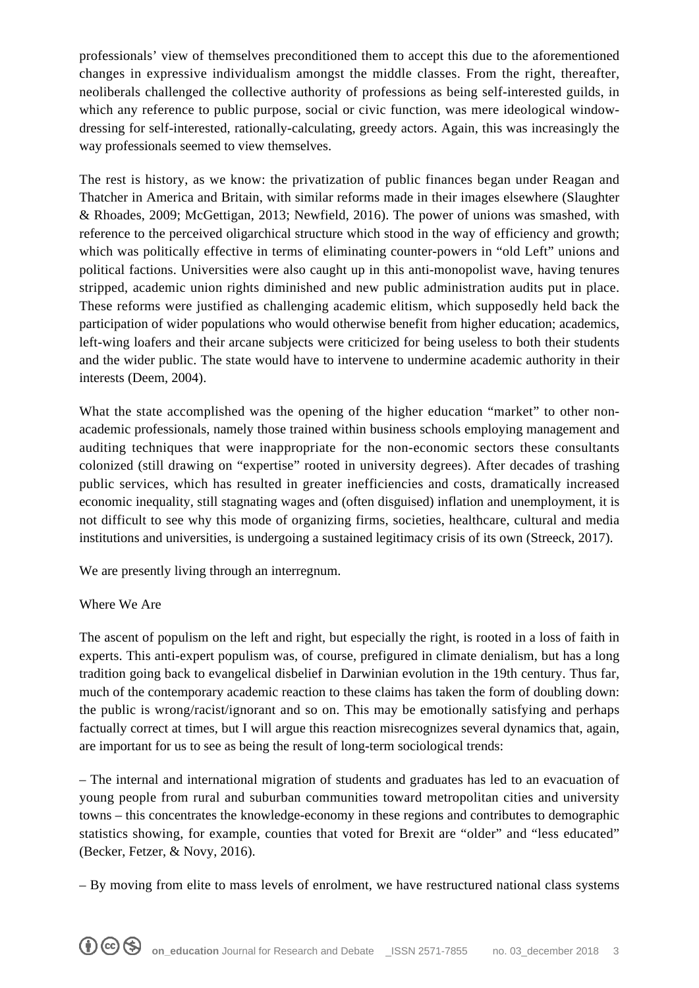professionals' view of themselves preconditioned them to accept this due to the aforementioned changes in expressive individualism amongst the middle classes. From the right, thereafter, neoliberals challenged the collective authority of professions as being self-interested guilds, in which any reference to public purpose, social or civic function, was mere ideological windowdressing for self-interested, rationally-calculating, greedy actors. Again, this was increasingly the way professionals seemed to view themselves.

The rest is history, as we know: the privatization of public finances began under Reagan and Thatcher in America and Britain, with similar reforms made in their images elsewhere (Slaughter & Rhoades, 2009; McGettigan, 2013; Newfield, 2016). The power of unions was smashed, with reference to the perceived oligarchical structure which stood in the way of efficiency and growth; which was politically effective in terms of eliminating counter-powers in "old Left" unions and political factions. Universities were also caught up in this anti-monopolist wave, having tenures stripped, academic union rights diminished and new public administration audits put in place. These reforms were justified as challenging academic elitism, which supposedly held back the participation of wider populations who would otherwise benefit from higher education; academics, left-wing loafers and their arcane subjects were criticized for being useless to both their students and the wider public. The state would have to intervene to undermine academic authority in their interests (Deem, 2004).

What the state accomplished was the opening of the higher education "market" to other nonacademic professionals, namely those trained within business schools employing management and auditing techniques that were inappropriate for the non-economic sectors these consultants colonized (still drawing on "expertise" rooted in university degrees). After decades of trashing public services, which has resulted in greater inefficiencies and costs, dramatically increased economic inequality, still stagnating wages and (often disguised) inflation and unemployment, it is not difficult to see why this mode of organizing firms, societies, healthcare, cultural and media institutions and universities, is undergoing a sustained legitimacy crisis of its own (Streeck, 2017).

We are presently living through an interregnum.

## Where We Are

The ascent of populism on the left and right, but especially the right, is rooted in a loss of faith in experts. This anti-expert populism was, of course, prefigured in climate denialism, but has a long tradition going back to evangelical disbelief in Darwinian evolution in the 19th century. Thus far, much of the contemporary academic reaction to these claims has taken the form of doubling down: the public is wrong/racist/ignorant and so on. This may be emotionally satisfying and perhaps factually correct at times, but I will argue this reaction misrecognizes several dynamics that, again, are important for us to see as being the result of long-term sociological trends:

– The internal and international migration of students and graduates has led to an evacuation of young people from rural and suburban communities toward metropolitan cities and university towns – this concentrates the knowledge-economy in these regions and contributes to demographic statistics showing, for example, counties that voted for Brexit are "older" and "less educated" (Becker, Fetzer, & Novy, 2016).

– By moving from elite to mass levels of enrolment, we have restructured national class systems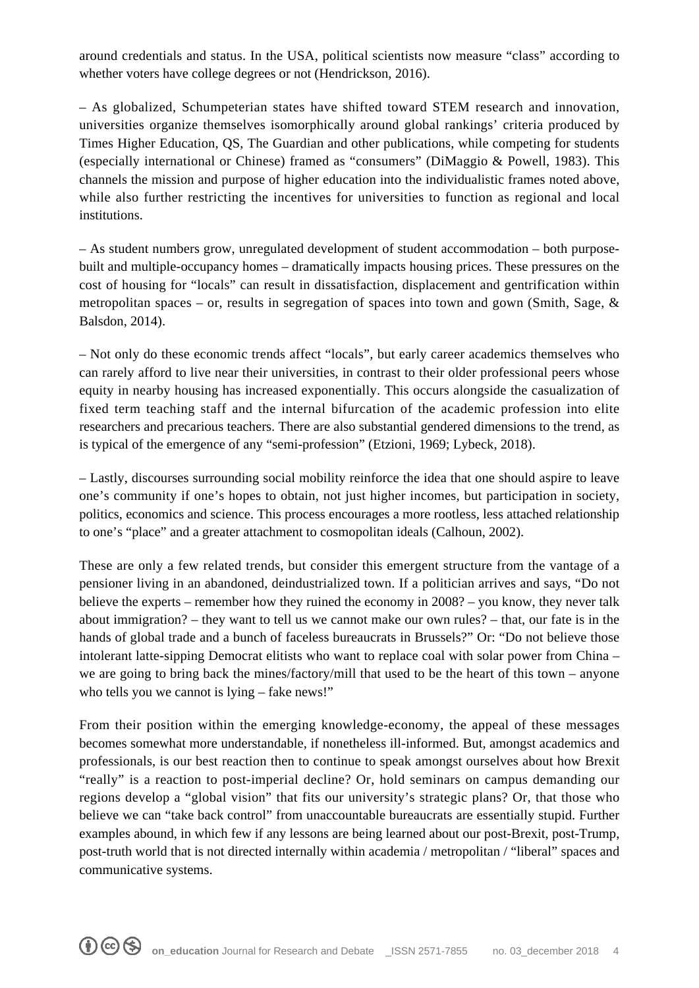around credentials and status. In the USA, political scientists now measure "class" according to whether voters have college degrees or not (Hendrickson, 2016).

– As globalized, Schumpeterian states have shifted toward STEM research and innovation, universities organize themselves isomorphically around global rankings' criteria produced by Times Higher Education, QS, The Guardian and other publications, while competing for students (especially international or Chinese) framed as "consumers" (DiMaggio & Powell, 1983). This channels the mission and purpose of higher education into the individualistic frames noted above, while also further restricting the incentives for universities to function as regional and local institutions.

– As student numbers grow, unregulated development of student accommodation – both purposebuilt and multiple-occupancy homes – dramatically impacts housing prices. These pressures on the cost of housing for "locals" can result in dissatisfaction, displacement and gentrification within metropolitan spaces – or, results in segregation of spaces into town and gown (Smith, Sage,  $\&$ Balsdon, 2014).

– Not only do these economic trends affect "locals", but early career academics themselves who can rarely afford to live near their universities, in contrast to their older professional peers whose equity in nearby housing has increased exponentially. This occurs alongside the casualization of fixed term teaching staff and the internal bifurcation of the academic profession into elite researchers and precarious teachers. There are also substantial gendered dimensions to the trend, as is typical of the emergence of any "semi-profession" (Etzioni, 1969; Lybeck, 2018).

– Lastly, discourses surrounding social mobility reinforce the idea that one should aspire to leave one's community if one's hopes to obtain, not just higher incomes, but participation in society, politics, economics and science. This process encourages a more rootless, less attached relationship to one's "place" and a greater attachment to cosmopolitan ideals (Calhoun, 2002).

These are only a few related trends, but consider this emergent structure from the vantage of a pensioner living in an abandoned, deindustrialized town. If a politician arrives and says, "Do not believe the experts – remember how they ruined the economy in 2008? – you know, they never talk about immigration? – they want to tell us we cannot make our own rules? – that, our fate is in the hands of global trade and a bunch of faceless bureaucrats in Brussels?" Or: "Do not believe those intolerant latte-sipping Democrat elitists who want to replace coal with solar power from China – we are going to bring back the mines/factory/mill that used to be the heart of this town – anyone who tells you we cannot is lying – fake news!"

From their position within the emerging knowledge-economy, the appeal of these messages becomes somewhat more understandable, if nonetheless ill-informed. But, amongst academics and professionals, is our best reaction then to continue to speak amongst ourselves about how Brexit "really" is a reaction to post-imperial decline? Or, hold seminars on campus demanding our regions develop a "global vision" that fits our university's strategic plans? Or, that those who believe we can "take back control" from unaccountable bureaucrats are essentially stupid. Further examples abound, in which few if any lessons are being learned about our post-Brexit, post-Trump, post-truth world that is not directed internally within academia / metropolitan / "liberal" spaces and communicative systems.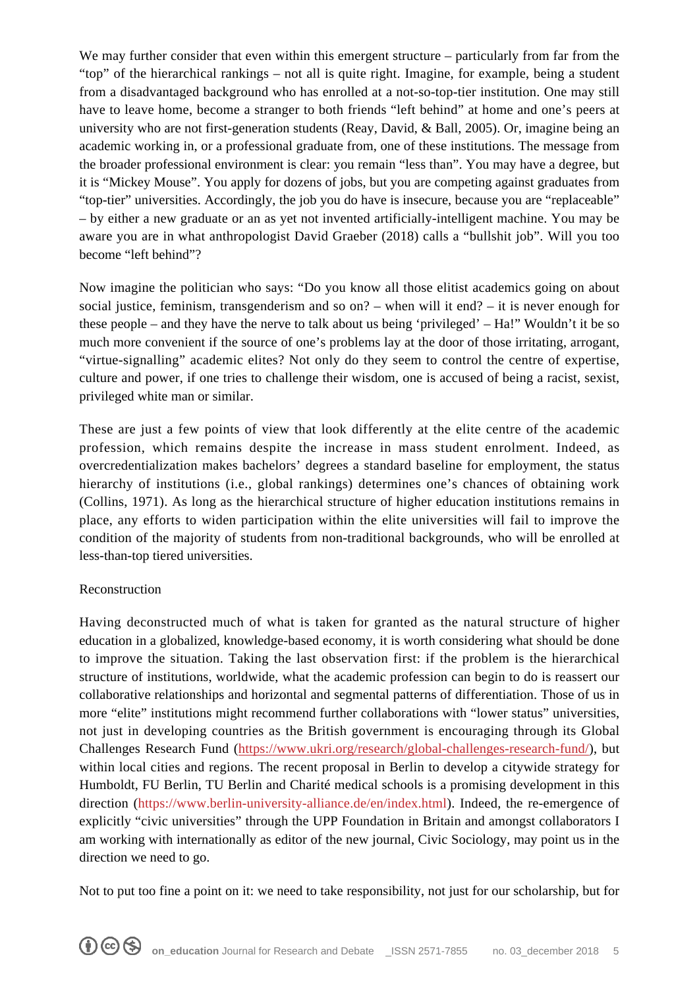We may further consider that even within this emergent structure – particularly from far from the "top" of the hierarchical rankings – not all is quite right. Imagine, for example, being a student from a disadvantaged background who has enrolled at a not-so-top-tier institution. One may still have to leave home, become a stranger to both friends "left behind" at home and one's peers at university who are not first-generation students (Reay, David, & Ball, 2005). Or, imagine being an academic working in, or a professional graduate from, one of these institutions. The message from the broader professional environment is clear: you remain "less than". You may have a degree, but it is "Mickey Mouse". You apply for dozens of jobs, but you are competing against graduates from "top-tier" universities. Accordingly, the job you do have is insecure, because you are "replaceable" – by either a new graduate or an as yet not invented artificially-intelligent machine. You may be aware you are in what anthropologist David Graeber (2018) calls a "bullshit job". Will you too become "left behind"?

Now imagine the politician who says: "Do you know all those elitist academics going on about social justice, feminism, transgenderism and so on? – when will it end? – it is never enough for these people – and they have the nerve to talk about us being 'privileged' – Ha!" Wouldn't it be so much more convenient if the source of one's problems lay at the door of those irritating, arrogant, "virtue-signalling" academic elites? Not only do they seem to control the centre of expertise, culture and power, if one tries to challenge their wisdom, one is accused of being a racist, sexist, privileged white man or similar.

These are just a few points of view that look differently at the elite centre of the academic profession, which remains despite the increase in mass student enrolment. Indeed, as overcredentialization makes bachelors' degrees a standard baseline for employment, the status hierarchy of institutions (i.e., global rankings) determines one's chances of obtaining work (Collins, 1971). As long as the hierarchical structure of higher education institutions remains in place, any efforts to widen participation within the elite universities will fail to improve the condition of the majority of students from non-traditional backgrounds, who will be enrolled at less-than-top tiered universities.

## Reconstruction

Having deconstructed much of what is taken for granted as the natural structure of higher education in a globalized, knowledge-based economy, it is worth considering what should be done to improve the situation. Taking the last observation first: if the problem is the hierarchical structure of institutions, worldwide, what the academic profession can begin to do is reassert our collaborative relationships and horizontal and segmental patterns of differentiation. Those of us in more "elite" institutions might recommend further collaborations with "lower status" universities, not just in developing countries as the British government is encouraging through its Global Challenges Research Fund [\(https://www.ukri.org/research/global-challenges-research-fund/\)](https://www.ukri.org/research/global-challenges-research-fund/), but within local cities and regions. The recent proposal in Berlin to develop a citywide strategy for Humboldt, FU Berlin, TU Berlin and Charité medical schools is a promising development in this direction ([https://www.berlin-university-alliance.de/en/index.html\)](https://www.berlin-university-alliance.de/en/index.html). Indeed, the re-emergence of explicitly "civic universities" through the UPP Foundation in Britain and amongst collaborators I am working with internationally as editor of the new journal, Civic Sociology, may point us in the direction we need to go.

Not to put too fine a point on it: we need to take responsibility, not just for our scholarship, but for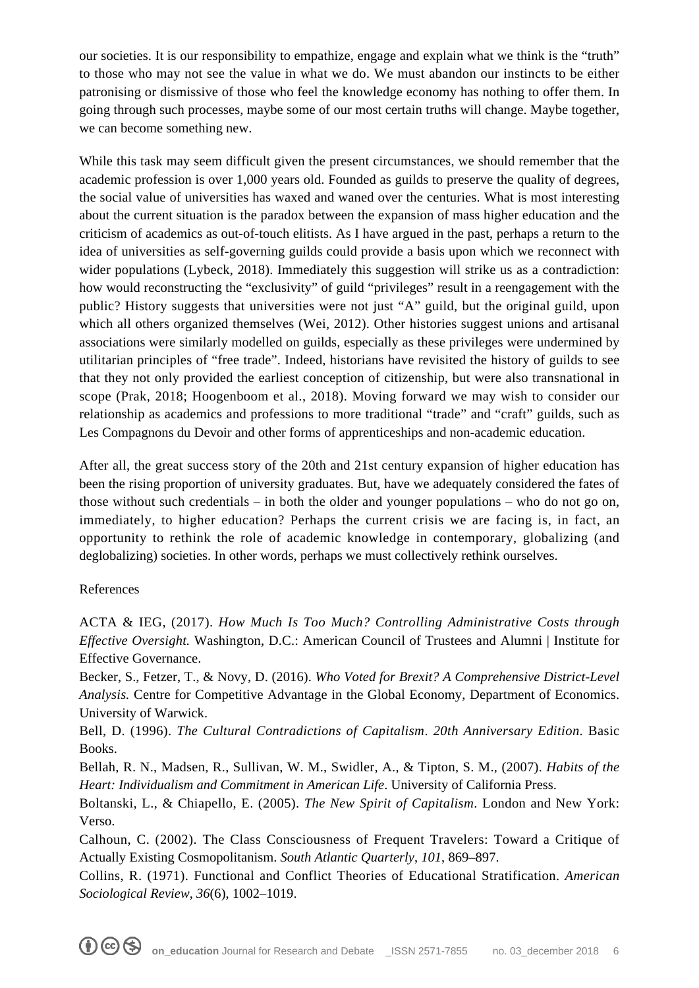our societies. It is our responsibility to empathize, engage and explain what we think is the "truth" to those who may not see the value in what we do. We must abandon our instincts to be either patronising or dismissive of those who feel the knowledge economy has nothing to offer them. In going through such processes, maybe some of our most certain truths will change. Maybe together, we can become something new.

While this task may seem difficult given the present circumstances, we should remember that the academic profession is over 1,000 years old. Founded as guilds to preserve the quality of degrees, the social value of universities has waxed and waned over the centuries. What is most interesting about the current situation is the paradox between the expansion of mass higher education and the criticism of academics as out-of-touch elitists. As I have argued in the past, perhaps a return to the idea of universities as self-governing guilds could provide a basis upon which we reconnect with wider populations (Lybeck, 2018). Immediately this suggestion will strike us as a contradiction: how would reconstructing the "exclusivity" of guild "privileges" result in a reengagement with the public? History suggests that universities were not just "A" guild, but the original guild, upon which all others organized themselves (Wei, 2012). Other histories suggest unions and artisanal associations were similarly modelled on guilds, especially as these privileges were undermined by utilitarian principles of "free trade". Indeed, historians have revisited the history of guilds to see that they not only provided the earliest conception of citizenship, but were also transnational in scope (Prak, 2018; Hoogenboom et al., 2018). Moving forward we may wish to consider our relationship as academics and professions to more traditional "trade" and "craft" guilds, such as Les Compagnons du Devoir and other forms of apprenticeships and non-academic education.

After all, the great success story of the 20th and 21st century expansion of higher education has been the rising proportion of university graduates. But, have we adequately considered the fates of those without such credentials – in both the older and younger populations – who do not go on, immediately, to higher education? Perhaps the current crisis we are facing is, in fact, an opportunity to rethink the role of academic knowledge in contemporary, globalizing (and deglobalizing) societies. In other words, perhaps we must collectively rethink ourselves.

## References

ACTA & IEG, (2017). *How Much Is Too Much? Controlling Administrative Costs through Effective Oversight.* Washington, D.C.: American Council of Trustees and Alumni | Institute for Effective Governance.

Becker, S., Fetzer, T., & Novy, D. (2016). *Who Voted for Brexit? A Comprehensive District-Level Analysis.* Centre for Competitive Advantage in the Global Economy, Department of Economics. University of Warwick.

Bell, D. (1996). *The Cultural Contradictions of Capitalism*. *20th Anniversary Edition*. Basic Books.

Bellah, R. N., Madsen, R., Sullivan, W. M., Swidler, A., & Tipton, S. M., (2007). *Habits of the Heart: Individualism and Commitment in American Life*. University of California Press.

Boltanski, L., & Chiapello, E. (2005). *The New Spirit of Capitalism*. London and New York: Verso.

Calhoun, C. (2002). The Class Consciousness of Frequent Travelers: Toward a Critique of Actually Existing Cosmopolitanism. *South Atlantic Quarterly*, *101*, 869–897.

Collins, R. (1971). Functional and Conflict Theories of Educational Stratification. *American Sociological Review*, *36*(6), 1002–1019.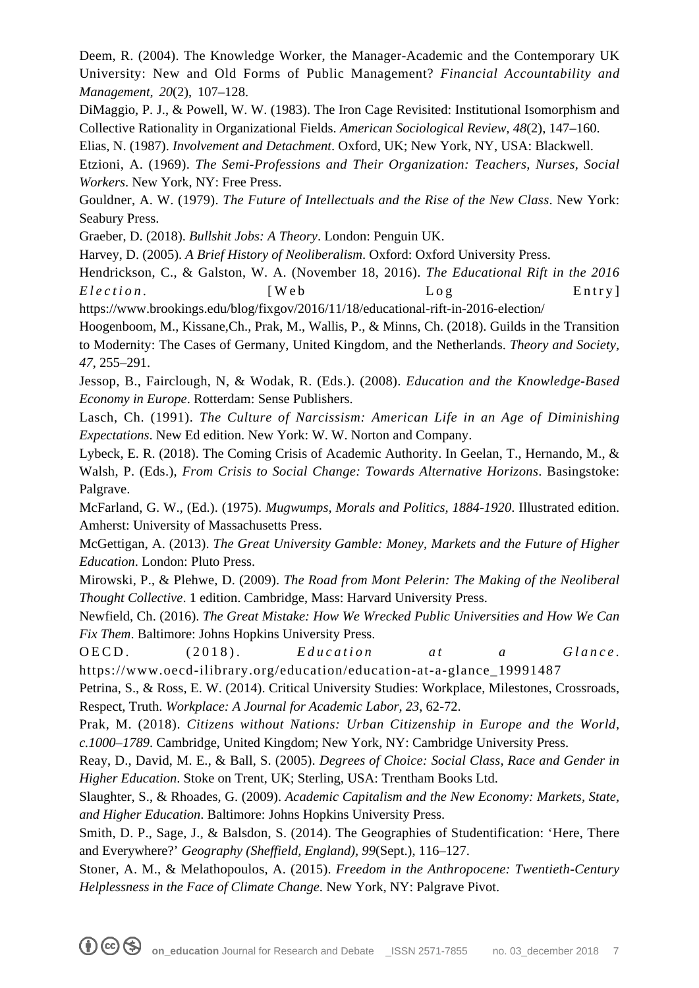Deem, R. (2004). The Knowledge Worker, the Manager-Academic and the Contemporary UK University: New and Old Forms of Public Management? *Financial Accountability and Management, 20*(2), 107–128.

DiMaggio, P. J., & Powell, W. W. (1983). The Iron Cage Revisited: Institutional Isomorphism and Collective Rationality in Organizational Fields. *American Sociological Review, 48*(2), 147–160.

Elias, N. (1987). *Involvement and Detachment*. Oxford, UK; New York, NY, USA: Blackwell.

Etzioni, A. (1969). *The Semi-Professions and Their Organization: Teachers, Nurses, Social Workers*. New York, NY: Free Press.

Gouldner, A. W. (1979). *The Future of Intellectuals and the Rise of the New Class*. New York: Seabury Press.

Graeber, D. (2018). *Bullshit Jobs: A Theory*. London: Penguin UK.

Harvey, D. (2005). *A Brief History of Neoliberalism*. Oxford: Oxford University Press.

Hendrickson, C., & Galston, W. A. (November 18, 2016). *The Educational Rift in the 2016 Election.* [Web Log Entry]

https://www.brookings.edu/blog/fixgov/2016/11/18/educational-rift-in-2016-election/

Hoogenboom, M., Kissane,Ch., Prak, M., Wallis, P., & Minns, Ch. (2018). Guilds in the Transition to Modernity: The Cases of Germany, United Kingdom, and the Netherlands. *Theory and Society, 47*, 255–291.

Jessop, B., Fairclough, N, & Wodak, R. (Eds.). (2008). *Education and the Knowledge-Based Economy in Europe*. Rotterdam: Sense Publishers.

Lasch, Ch. (1991). *The Culture of Narcissism: American Life in an Age of Diminishing Expectations*. New Ed edition. New York: W. W. Norton and Company.

Lybeck, E. R. (2018). The Coming Crisis of Academic Authority. In Geelan, T., Hernando, M., & Walsh, P. (Eds.), *From Crisis to Social Change: Towards Alternative Horizons*. Basingstoke: Palgrave.

McFarland, G. W., (Ed.). (1975). *Mugwumps, Morals and Politics, 1884-1920*. Illustrated edition. Amherst: University of Massachusetts Press.

McGettigan, A. (2013). *The Great University Gamble: Money, Markets and the Future of Higher Education*. London: Pluto Press.

Mirowski, P., & Plehwe, D. (2009). *The Road from Mont Pelerin: The Making of the Neoliberal Thought Collective*. 1 edition. Cambridge, Mass: Harvard University Press.

Newfield, Ch. (2016). *The Great Mistake: How We Wrecked Public Universities and How We Can Fix Them*. Baltimore: Johns Hopkins University Press.

OECD. (2018). *Education* at a Glance. https://www.oecd-ilibrary.org/education/education-at-a-glance\_19991487

Petrina, S., & Ross, E. W. (2014). Critical University Studies: Workplace, Milestones, Crossroads, Respect, Truth. *Workplace: A Journal for Academic Labor, 23*, 62-72.

Prak, M. (2018). *Citizens without Nations: Urban Citizenship in Europe and the World, c.1000–1789*. Cambridge, United Kingdom; New York, NY: Cambridge University Press.

Reay, D., David, M. E., & Ball, S. (2005). *Degrees of Choice: Social Class, Race and Gender in Higher Education*. Stoke on Trent, UK; Sterling, USA: Trentham Books Ltd.

Slaughter, S., & Rhoades, G. (2009). *Academic Capitalism and the New Economy: Markets, State, and Higher Education*. Baltimore: Johns Hopkins University Press.

Smith, D. P., Sage, J., & Balsdon, S. (2014). The Geographies of Studentification: 'Here, There and Everywhere?' *Geography (Sheffield, England), 99*(Sept.), 116–127.

Stoner, A. M., & Melathopoulos, A. (2015). *Freedom in the Anthropocene: Twentieth-Century Helplessness in the Face of Climate Change*. New York, NY: Palgrave Pivot.